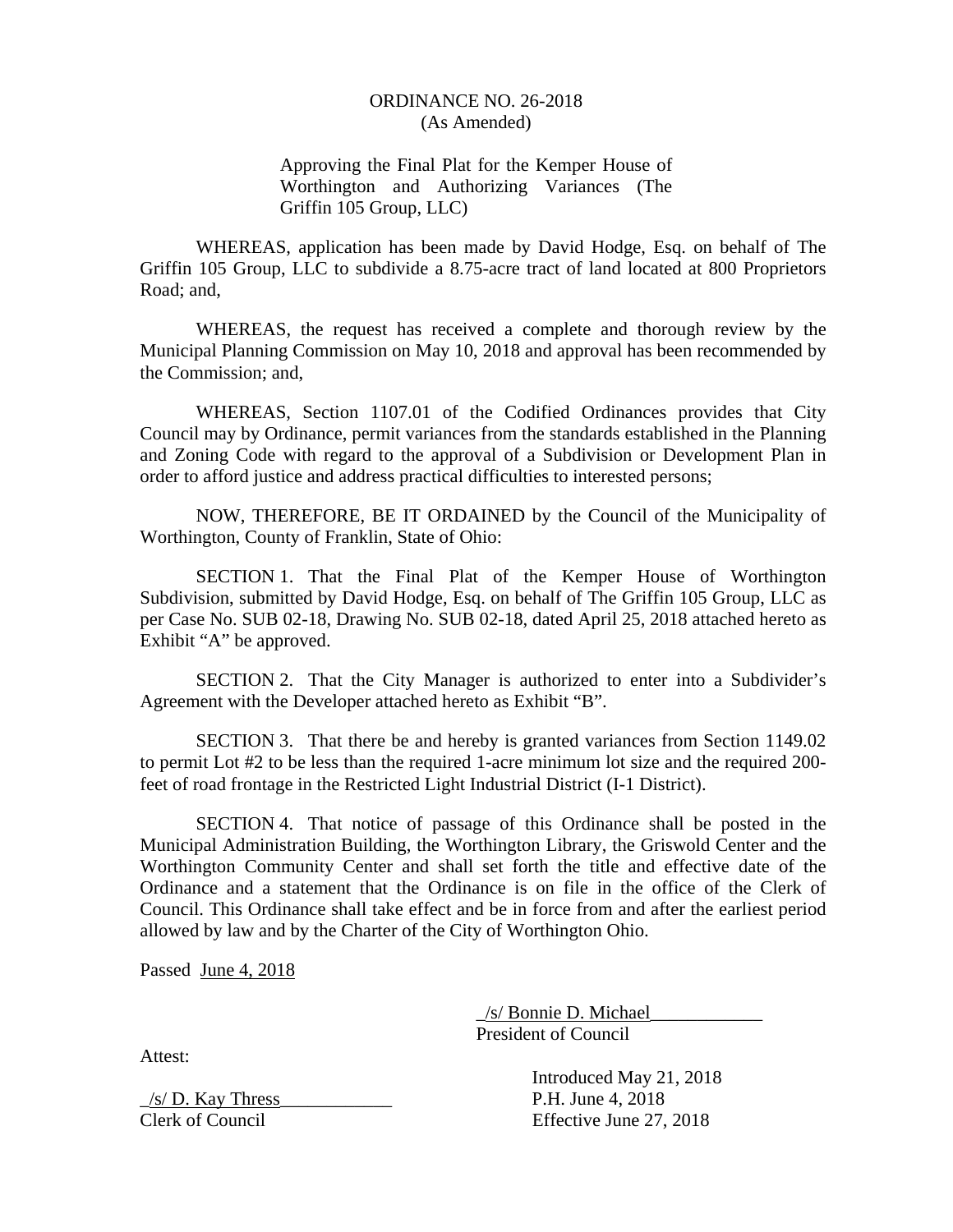### ORDINANCE NO. 26-2018 (As Amended)

Approving the Final Plat for the Kemper House of Worthington and Authorizing Variances (The Griffin 105 Group, LLC)

 WHEREAS, application has been made by David Hodge, Esq. on behalf of The Griffin 105 Group, LLC to subdivide a 8.75-acre tract of land located at 800 Proprietors Road; and,

 WHEREAS, the request has received a complete and thorough review by the Municipal Planning Commission on May 10, 2018 and approval has been recommended by the Commission; and,

 WHEREAS, Section 1107.01 of the Codified Ordinances provides that City Council may by Ordinance, permit variances from the standards established in the Planning and Zoning Code with regard to the approval of a Subdivision or Development Plan in order to afford justice and address practical difficulties to interested persons;

 NOW, THEREFORE, BE IT ORDAINED by the Council of the Municipality of Worthington, County of Franklin, State of Ohio:

 SECTION 1. That the Final Plat of the Kemper House of Worthington Subdivision, submitted by David Hodge, Esq. on behalf of The Griffin 105 Group, LLC as per Case No. SUB 02-18, Drawing No. SUB 02-18, dated April 25, 2018 attached hereto as Exhibit "A" be approved.

 SECTION 2. That the City Manager is authorized to enter into a Subdivider's Agreement with the Developer attached hereto as Exhibit "B".

 SECTION 3. That there be and hereby is granted variances from Section 1149.02 to permit Lot #2 to be less than the required 1-acre minimum lot size and the required 200 feet of road frontage in the Restricted Light Industrial District (I-1 District).

 SECTION 4. That notice of passage of this Ordinance shall be posted in the Municipal Administration Building, the Worthington Library, the Griswold Center and the Worthington Community Center and shall set forth the title and effective date of the Ordinance and a statement that the Ordinance is on file in the office of the Clerk of Council. This Ordinance shall take effect and be in force from and after the earliest period allowed by law and by the Charter of the City of Worthington Ohio.

Passed June 4, 2018

 \_/s/ Bonnie D. Michael\_\_\_\_\_\_\_\_\_\_\_\_ President of Council

Attest:

 $/s/D$ . Kay Thress P.H. June 4, 2018 Clerk of Council Effective June 27, 2018

Introduced May 21, 2018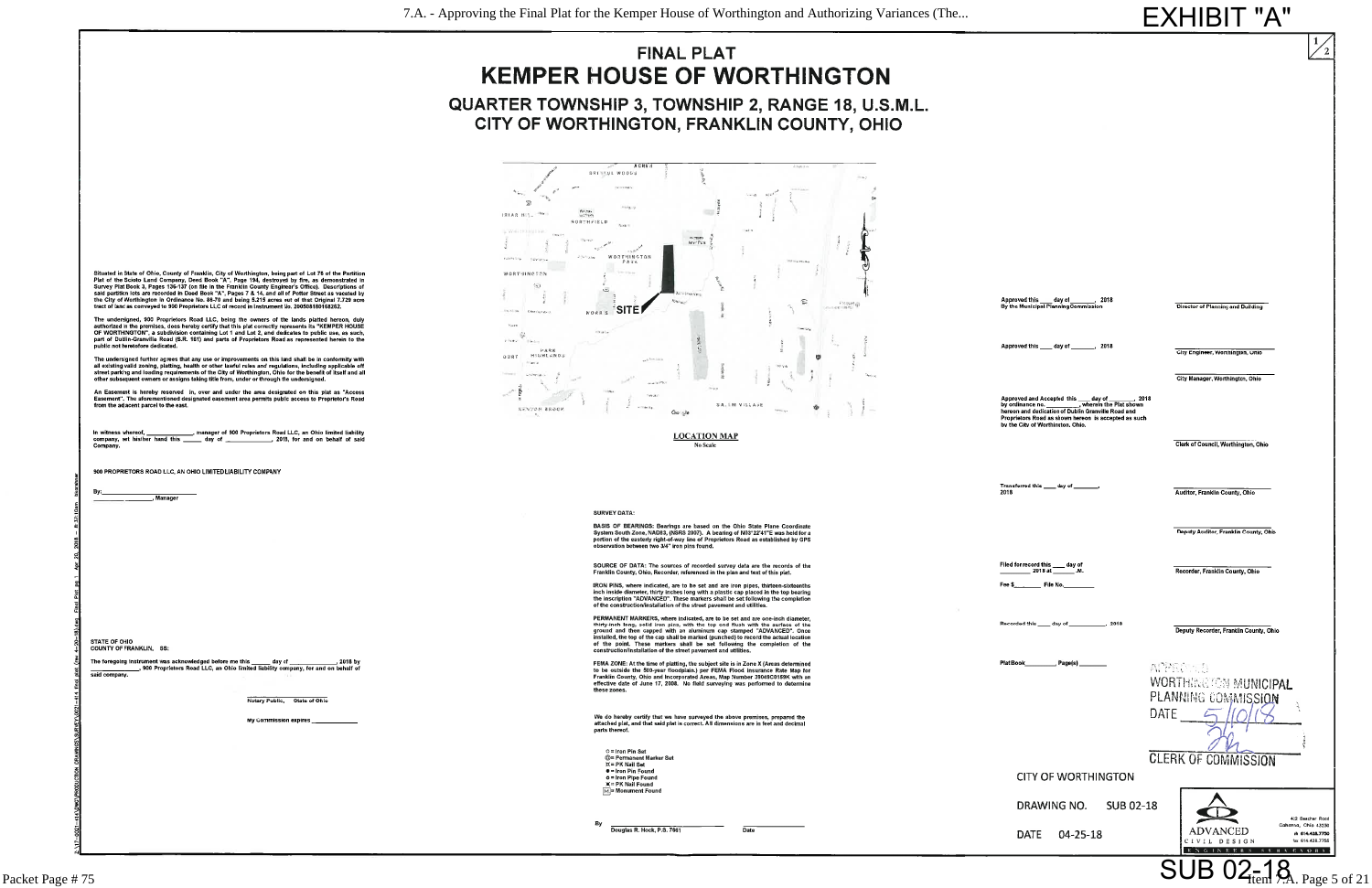## **FINAL PLAT KEMPER HOUSE OF WORTHINGTON** QUARTER TOWNSHIP 3, TOWNSHIP 2, RANGE 18, U.S.M.L. CITY OF WORTHINGTON, FRANKLIN COUNTY, OHIO

 $600$ 

**BRITIOL WOODS**  $\sqrt{33}$ Alberta de **ERLAR HIST TREE NORTHFIELD** -<br>Beat Park **Sample Re** EN JOS WORTHINGTON **Contractor** WORTHINGTON  $\mathcal{C}_{\mathcal{A}}$ MORRIS<sup>'</sup>SITE **Crime Picenson**  $2.5$  at  $\ell_{\rm B}$ DURT HIGHLANDS **Secure** SALEM VILLAGE *RENTON BROCK* 

> **LOCATION MAP** No Scale

**SURVEY DATA:** 

BASIS OF BEARINGS: Bearings are based on the Ohio State Plane Coordinate<br>System South Zone, NAD83, (NSRS 2007). A bearing of N03°22'41"E was held for a<br>portion of the easterly right-of-way line of Proprietors Road as estab servation between two 3/4" iron pins found.

SOURCE OF DATA: The sources of recorded survey data are the records of the Franklin County, Ohio, Recorder, referenced in the plan and text of this plat.

IRON PINS, where indicated, are to be set and are iron pipes, thirteen-sixteenths<br>inch inside diameter, thirty inches long with a plastic cap placed in the top bearing<br>the inscription "ADVANCED". These markers shall be set

PERMANENT MARKERS, where indicated, are to be set and are one-inch diameter, thirty-inch long, solid iron pins, with the top end flush with the surface of the ground and then capped with an aluminum cap stamped "ADVANCED".

FEMA ZONE: At the time of platting, the subject site is in Zone X (Areas determined<br>to be outside the 500-year floodplain.) per FEMA Flood Insurance Rate Map for<br>Franklin County, Ohio and Incorporated Areas, Map Number 390 these zones.

We do hereby certify that we have surveyed the above premises, prepared the attached plat, and that said plat is correct. All dimensions are in feet and decimal<br>parts thereof.

 $Q =$  Iron Pin Set C = Iron Pin Set<br>
© = Permanent Marker Set<br>
¤ = PK Nail Set<br>
● = Iron Pin Found<br>
■ Iron Pipe Found<br>
<u>×</u> = PK Nail Found<br>
<u>M</u> = Monument Found

By Douglas R. Hock, P.S. 7661

 $\overline{Date}$ 



The undersigned, 900 Proprietors Road LLC, being the owners of the lands platted hereon, duly<br>authorized in the premises, does hereby certify that this plat correctly represents its "KEMPER HOUSE<br>OF WORTHINGTON", a subdivi ic not heretofore dedicated

The undersigned further agrees that any use or improvements on this land shall be in conformity with<br>all existing valid zoning, platting, health or other lawful rules and regulations, including applicable off<br>street parkin

An Easement is hereby reserved in, over and under the area designated on this plat as "Access<br>Easement". The aforementioned designated easement area permits public access to Proprietor's Road<br>from the adjacent parcel to th

nanager of 900 Proprietors Road LLC, an Ohio limited liability... In witness whereof,  $\phantom{0}$ , 2018, for and on behalf of said

900 PROPRIETORS ROAD LLC, AN OHIO LIMITED LIABILITY COMPANY

. Manager

STATE OF OHIO<br>COUNTY OF FRANKLIN, \$\$:

said company.

Notary Public. State of Ohio

**My Commission expires** 

# **EXHIBIT "A"**

 $\angle_2$ 

Approved this \_\_\_ day of  $.2018$ Director of Planning and Building By the Municinal Planning Commission Approved this \_\_\_\_ day of \_\_\_  $.2018$ City Engineer, Worthington, Ohio City Manager, Worthington, Ohio Approved and Accepted this  $\frac{day \space of \space \_}{$  . 201 by ordinance no.<br>
wherein the Plat shown<br>
hereon and dedication of Dublin Granville Road and<br>
Proprietors Road as shown hereon is accepted as such<br>
by the City of Worthingto  $.2018$ Clerk of Council, Worthington, Ohio Transferred this \_\_\_\_ day of \_\_\_\_<br>2018 Auditor, Franklin County, Ohio Deputy Auditor, Franklin County, Ohio Filed for record this day of  $-$  2018 at  $-$ Recorder, Franklin County, Ohio  $\overline{\phantom{a}}$  File No. Fee \$ Recorded this \_\_\_\_\_ day of \_\_\_\_\_\_\_\_\_\_\_\_\_, 2018 Deputy Recorder, Franklin County, Ohio **ATPECTED WORTHINGTON MUNICIPAL** PLANNING COMMISSION **DATE**  $\sqrt{2}$  $\omega$ **CLERK OF COMMISSION CITY OF WORTHINGTON** DRAWING NO. SUB 02-18 O 422 Beecher Road Gahanna, Ohio 43230 **ADVANCED** DATE 04-25-18 ph 614.428.7750 CIVIL DESIGN .<br>fax 614.428.775 ENGINEERS STREEVORS SUB 02-18 Page 5 of 21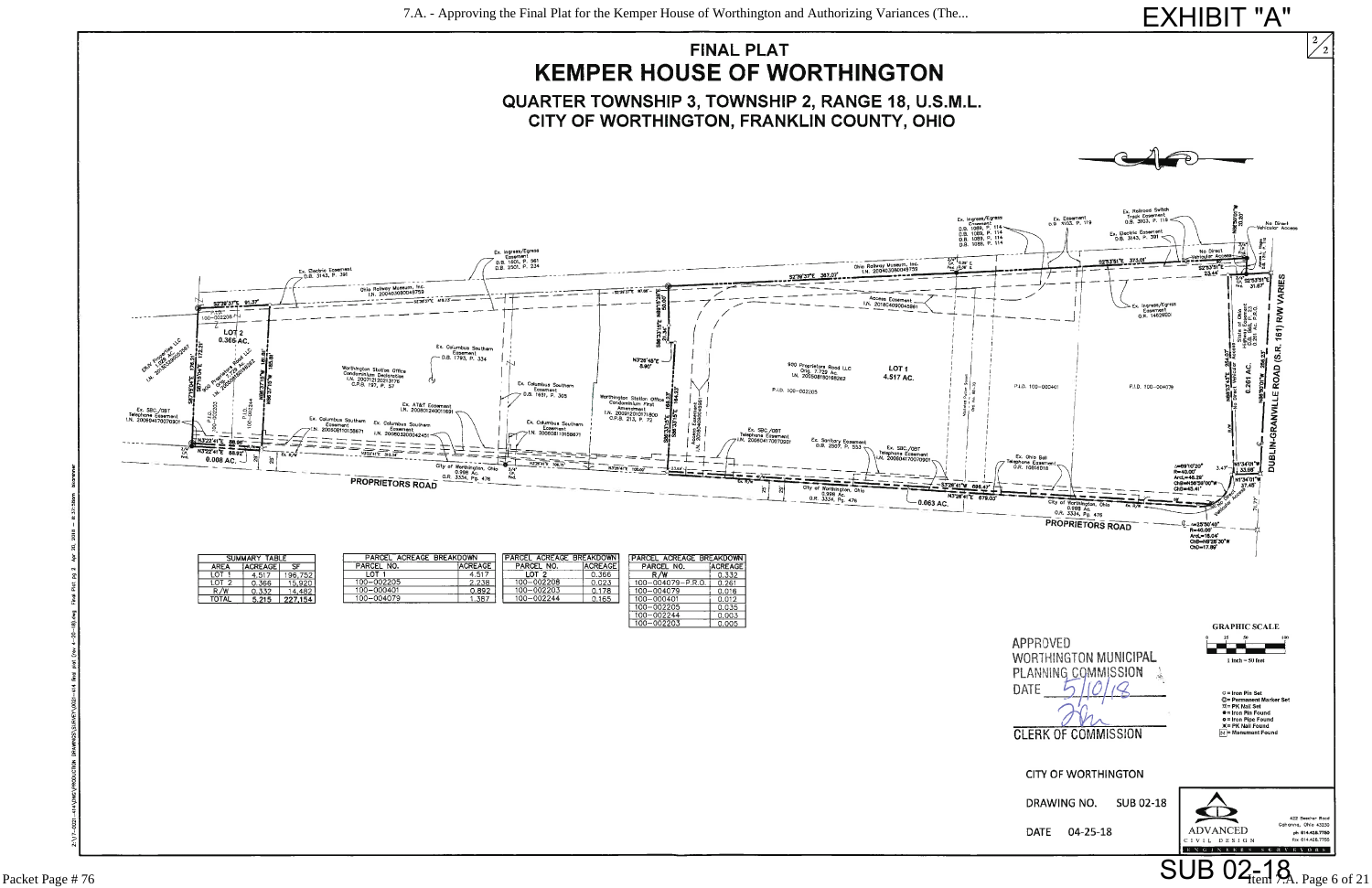

| <b>TABLE</b><br><b>SUMMARY</b> |                |         | ACREAGE BREAKDOWN<br>PARCEL |                | <b>PARCEL ACREAGE BREAKDOWN</b> |                 | PARCEL<br><b>BREAKDOWN</b><br><b>ACREACE</b> |         |
|--------------------------------|----------------|---------|-----------------------------|----------------|---------------------------------|-----------------|----------------------------------------------|---------|
| AREA                           | <b>ACREAGE</b> | ᄄ       | PARCEL NO.                  | <b>ACREAGE</b> | PARCEL NO.                      | <b>IACREAGE</b> | PARCEL NO.                                   | ACREAGE |
| ∟OT.                           | 4.517          | 96.752  | _OT                         | 4.517          | $_{\tt{COT}}$                   | 0.366           | R/W                                          | 0.332   |
| LOT 2                          | J.366          | 15.920  | 100-002205                  | 2.238          | 100-002208                      | 0.023           | $100 - 004079 - P.R.0.$                      | 0.261   |
| R/W                            | 0.332          | 4,482   | 100-000401                  | 0.892          | 100-002203                      | 0.178           | 100-004079                                   | 0.016   |
| <b>TOTAL</b>                   | 5.215          | 227,154 | 100-004079                  | .387           | 100-002244                      | 0.165           | 100-000401                                   | 0.012   |
|                                |                |         |                             |                |                                 |                 | 100-002205                                   | 0.035   |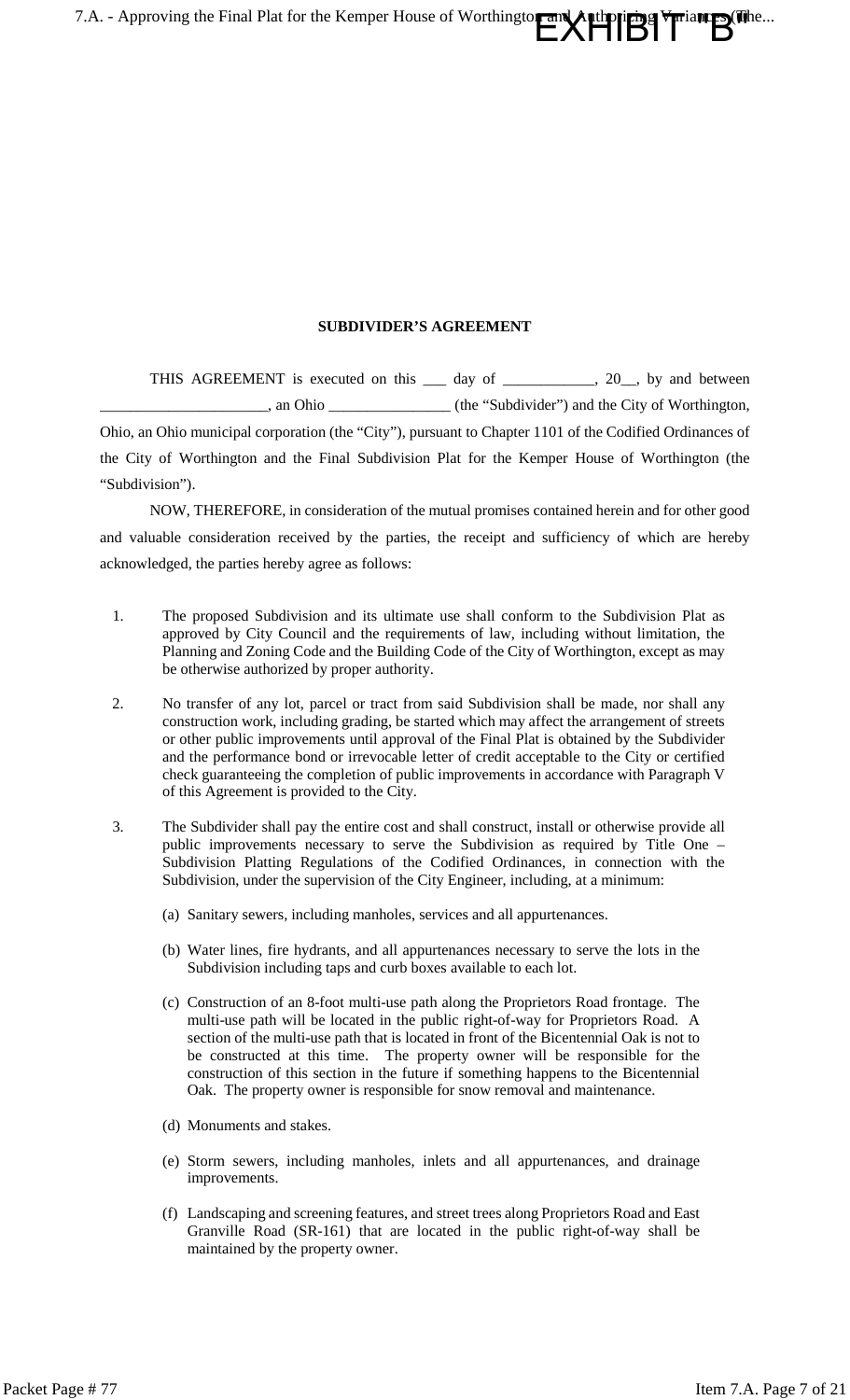$\prod_{i=1}^n \prod_{j=1}^n \prod_{j=1}^{n}$ 7.A. - Approving the Final Plat for the Kemper House of Worthington

#### **SUBDIVIDER'S AGREEMENT**

THIS AGREEMENT is executed on this 1 day of 20, by and between \_\_\_\_\_\_\_\_\_\_\_\_\_\_\_\_\_\_\_\_\_\_, an Ohio \_\_\_\_\_\_\_\_\_\_\_\_\_\_\_\_ (the "Subdivider") and the City of Worthington, Ohio, an Ohio municipal corporation (the "City"), pursuant to Chapter 1101 of the Codified Ordinances of the City of Worthington and the Final Subdivision Plat for the Kemper House of Worthington (the "Subdivision").

NOW, THEREFORE, in consideration of the mutual promises contained herein and for other good and valuable consideration received by the parties, the receipt and sufficiency of which are hereby acknowledged, the parties hereby agree as follows:

- 1. The proposed Subdivision and its ultimate use shall conform to the Subdivision Plat as approved by City Council and the requirements of law, including without limitation, the Planning and Zoning Code and the Building Code of the City of Worthington, except as may be otherwise authorized by proper authority.
- 2. No transfer of any lot, parcel or tract from said Subdivision shall be made, nor shall any construction work, including grading, be started which may affect the arrangement of streets or other public improvements until approval of the Final Plat is obtained by the Subdivider and the performance bond or irrevocable letter of credit acceptable to the City or certified check guaranteeing the completion of public improvements in accordance with Paragraph V of this Agreement is provided to the City.
- 3. The Subdivider shall pay the entire cost and shall construct, install or otherwise provide all public improvements necessary to serve the Subdivision as required by Title One – Subdivision Platting Regulations of the Codified Ordinances, in connection with the Subdivision, under the supervision of the City Engineer, including, at a minimum:
	- (a) Sanitary sewers, including manholes, services and all appurtenances.
	- (b) Water lines, fire hydrants, and all appurtenances necessary to serve the lots in the Subdivision including taps and curb boxes available to each lot.
	- (c) Construction of an 8-foot multi-use path along the Proprietors Road frontage. The multi-use path will be located in the public right-of-way for Proprietors Road. A section of the multi-use path that is located in front of the Bicentennial Oak is not to be constructed at this time. The property owner will be responsible for the construction of this section in the future if something happens to the Bicentennial Oak. The property owner is responsible for snow removal and maintenance.
	- (d) Monuments and stakes.
	- (e) Storm sewers, including manholes, inlets and all appurtenances, and drainage improvements.
	- (f) Landscaping and screening features, and street trees along Proprietors Road and East Granville Road (SR-161) that are located in the public right-of-way shall be maintained by the property owner.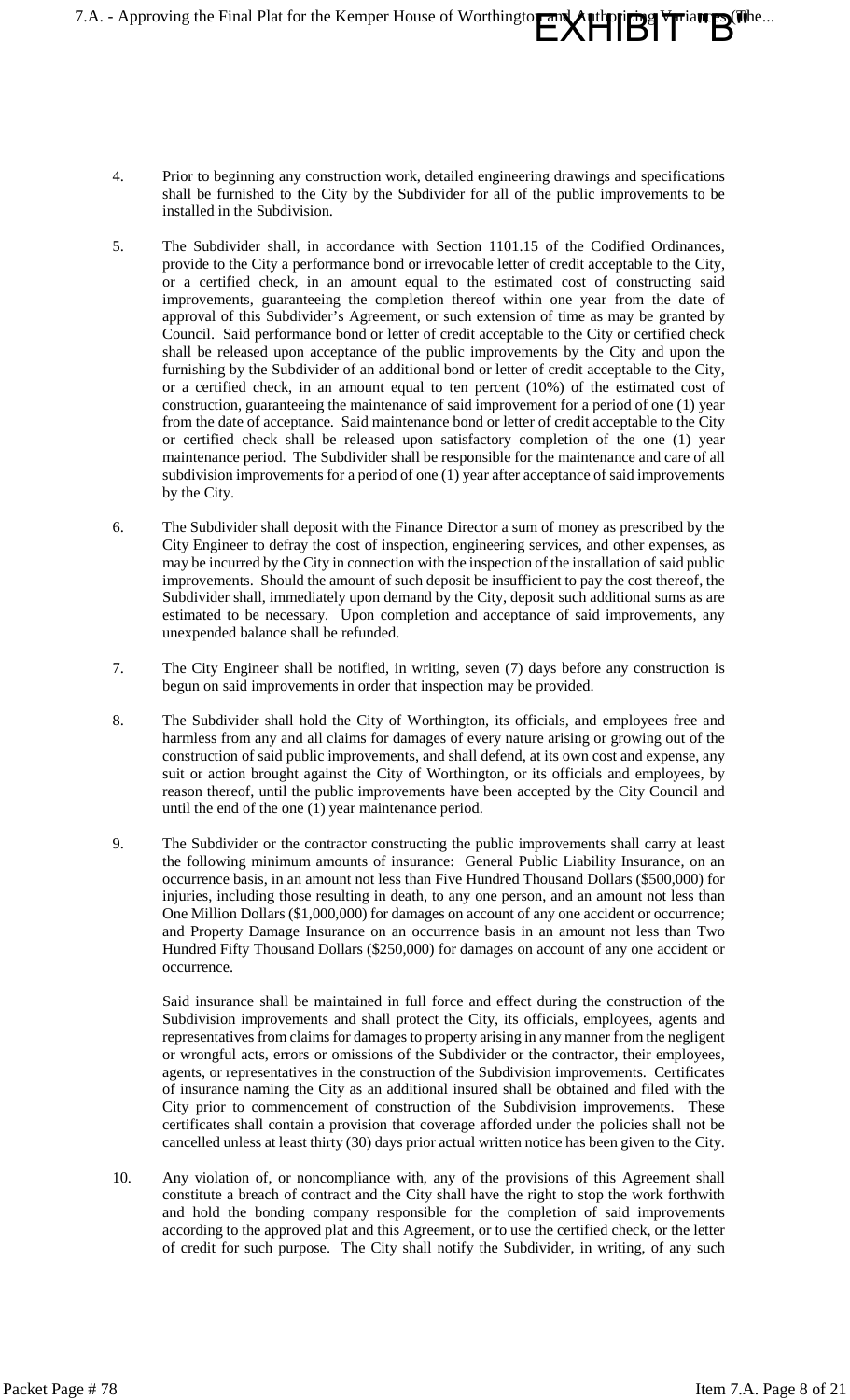7.A. - Approving the Final Plat for the Kemper House of Worthington and

**EXHIBIT B"** 

- 4. Prior to beginning any construction work, detailed engineering drawings and specifications shall be furnished to the City by the Subdivider for all of the public improvements to be installed in the Subdivision.
- 5. The Subdivider shall, in accordance with Section 1101.15 of the Codified Ordinances, provide to the City a performance bond or irrevocable letter of credit acceptable to the City, or a certified check, in an amount equal to the estimated cost of constructing said improvements, guaranteeing the completion thereof within one year from the date of approval of this Subdivider's Agreement, or such extension of time as may be granted by Council. Said performance bond or letter of credit acceptable to the City or certified check shall be released upon acceptance of the public improvements by the City and upon the furnishing by the Subdivider of an additional bond or letter of credit acceptable to the City, or a certified check, in an amount equal to ten percent (10%) of the estimated cost of construction, guaranteeing the maintenance of said improvement for a period of one (1) year from the date of acceptance. Said maintenance bond or letter of credit acceptable to the City or certified check shall be released upon satisfactory completion of the one (1) year maintenance period. The Subdivider shall be responsible for the maintenance and care of all subdivision improvements for a period of one (1) year after acceptance of said improvements by the City.
- 6. The Subdivider shall deposit with the Finance Director a sum of money as prescribed by the City Engineer to defray the cost of inspection, engineering services, and other expenses, as may be incurred by the City in connection with the inspection of the installation of said public improvements. Should the amount of such deposit be insufficient to pay the cost thereof, the Subdivider shall, immediately upon demand by the City, deposit such additional sums as are estimated to be necessary. Upon completion and acceptance of said improvements, any unexpended balance shall be refunded.
- 7. The City Engineer shall be notified, in writing, seven (7) days before any construction is begun on said improvements in order that inspection may be provided.
- 8. The Subdivider shall hold the City of Worthington, its officials, and employees free and harmless from any and all claims for damages of every nature arising or growing out of the construction of said public improvements, and shall defend, at its own cost and expense, any suit or action brought against the City of Worthington, or its officials and employees, by reason thereof, until the public improvements have been accepted by the City Council and until the end of the one (1) year maintenance period.
- 9. The Subdivider or the contractor constructing the public improvements shall carry at least the following minimum amounts of insurance: General Public Liability Insurance, on an occurrence basis, in an amount not less than Five Hundred Thousand Dollars (\$500,000) for injuries, including those resulting in death, to any one person, and an amount not less than One Million Dollars (\$1,000,000) for damages on account of any one accident or occurrence; and Property Damage Insurance on an occurrence basis in an amount not less than Two Hundred Fifty Thousand Dollars (\$250,000) for damages on account of any one accident or occurrence.

Said insurance shall be maintained in full force and effect during the construction of the Subdivision improvements and shall protect the City, its officials, employees, agents and representatives from claims for damages to property arising in any manner from the negligent or wrongful acts, errors or omissions of the Subdivider or the contractor, their employees, agents, or representatives in the construction of the Subdivision improvements. Certificates of insurance naming the City as an additional insured shall be obtained and filed with the City prior to commencement of construction of the Subdivision improvements. These certificates shall contain a provision that coverage afforded under the policies shall not be cancelled unless at least thirty (30) days prior actual written notice has been given to the City.

10. Any violation of, or noncompliance with, any of the provisions of this Agreement shall constitute a breach of contract and the City shall have the right to stop the work forthwith and hold the bonding company responsible for the completion of said improvements according to the approved plat and this Agreement, or to use the certified check, or the letter of credit for such purpose. The City shall notify the Subdivider, in writing, of any such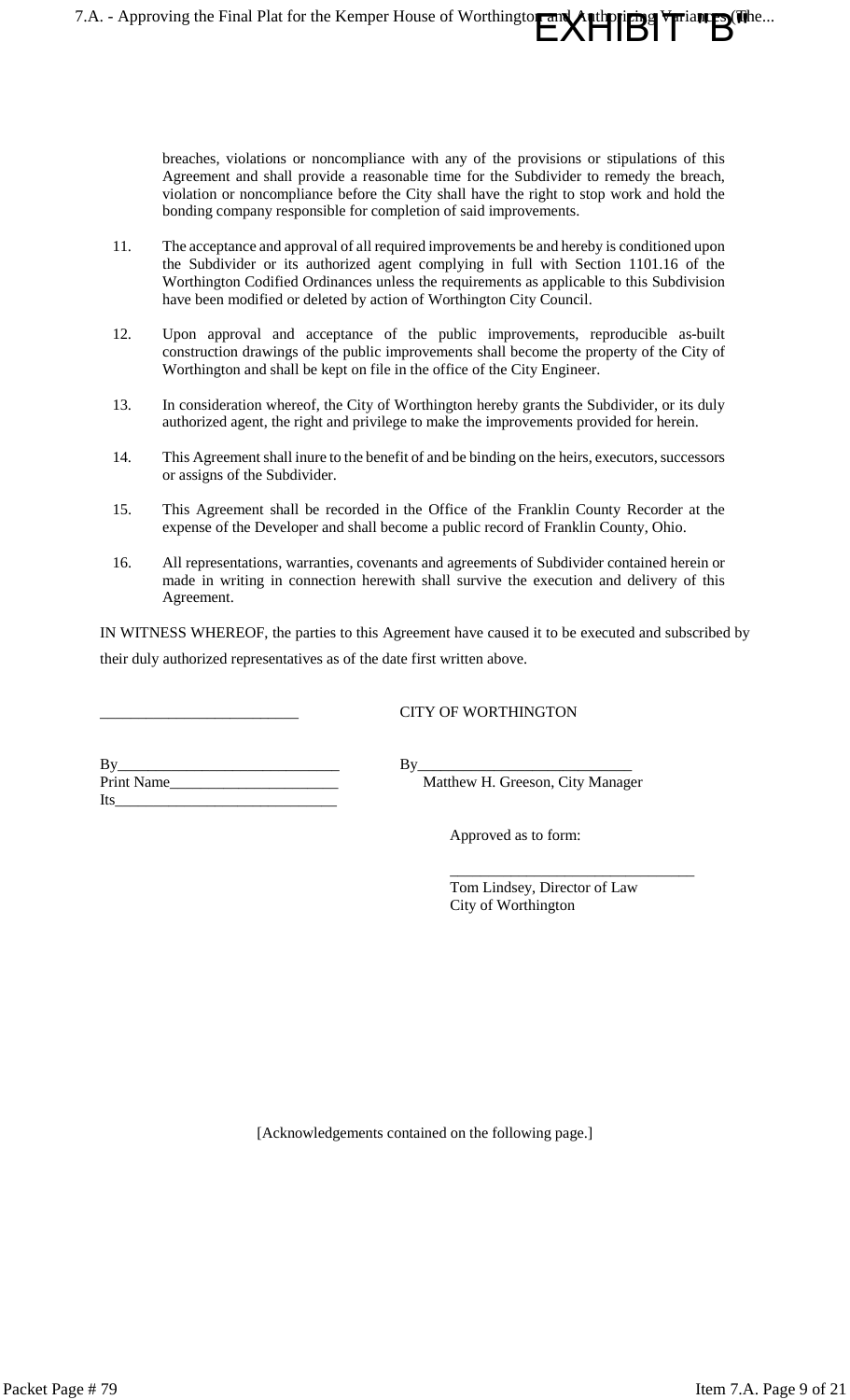breaches, violations or noncompliance with any of the provisions or stipulations of this Agreement and shall provide a reasonable time for the Subdivider to remedy the breach, violation or noncompliance before the City shall have the right to stop work and hold the bonding company responsible for completion of said improvements.

7.A. - Approving the Final Plat for the Kemper House of Worthington and

pung Vulant Riche...

- 11. The acceptance and approval of all required improvements be and hereby is conditioned upon the Subdivider or its authorized agent complying in full with Section 1101.16 of the Worthington Codified Ordinances unless the requirements as applicable to this Subdivision have been modified or deleted by action of Worthington City Council.
- 12. Upon approval and acceptance of the public improvements, reproducible as-built construction drawings of the public improvements shall become the property of the City of Worthington and shall be kept on file in the office of the City Engineer.
- 13. In consideration whereof, the City of Worthington hereby grants the Subdivider, or its duly authorized agent, the right and privilege to make the improvements provided for herein.
- 14. This Agreement shall inure to the benefit of and be binding on the heirs, executors, successors or assigns of the Subdivider.
- 15. This Agreement shall be recorded in the Office of the Franklin County Recorder at the expense of the Developer and shall become a public record of Franklin County, Ohio.
- 16. All representations, warranties, covenants and agreements of Subdivider contained herein or made in writing in connection herewith shall survive the execution and delivery of this Agreement.

IN WITNESS WHEREOF, the parties to this Agreement have caused it to be executed and subscribed by their duly authorized representatives as of the date first written above.

### \_\_\_\_\_\_\_\_\_\_\_\_\_\_\_\_\_\_\_\_\_\_\_\_\_\_ CITY OF WORTHINGTON

By\_\_\_\_\_\_\_\_\_\_\_\_\_\_\_\_\_\_\_\_\_\_\_\_\_\_\_\_\_ By\_\_\_\_\_\_\_\_\_\_\_\_\_\_\_\_\_\_\_\_\_\_\_\_\_\_\_\_ Print Name\_\_\_\_\_\_\_\_\_\_\_\_\_\_\_\_\_\_\_\_\_\_ Matthew H. Greeson, City Manager Its\_\_\_\_\_\_\_\_\_\_\_\_\_\_\_\_\_\_\_\_\_\_\_\_\_\_\_\_\_

Approved as to form:

Tom Lindsey, Director of Law City of Worthington

\_\_\_\_\_\_\_\_\_\_\_\_\_\_\_\_\_\_\_\_\_\_\_\_\_\_\_\_\_\_\_\_

[Acknowledgements contained on the following page.]